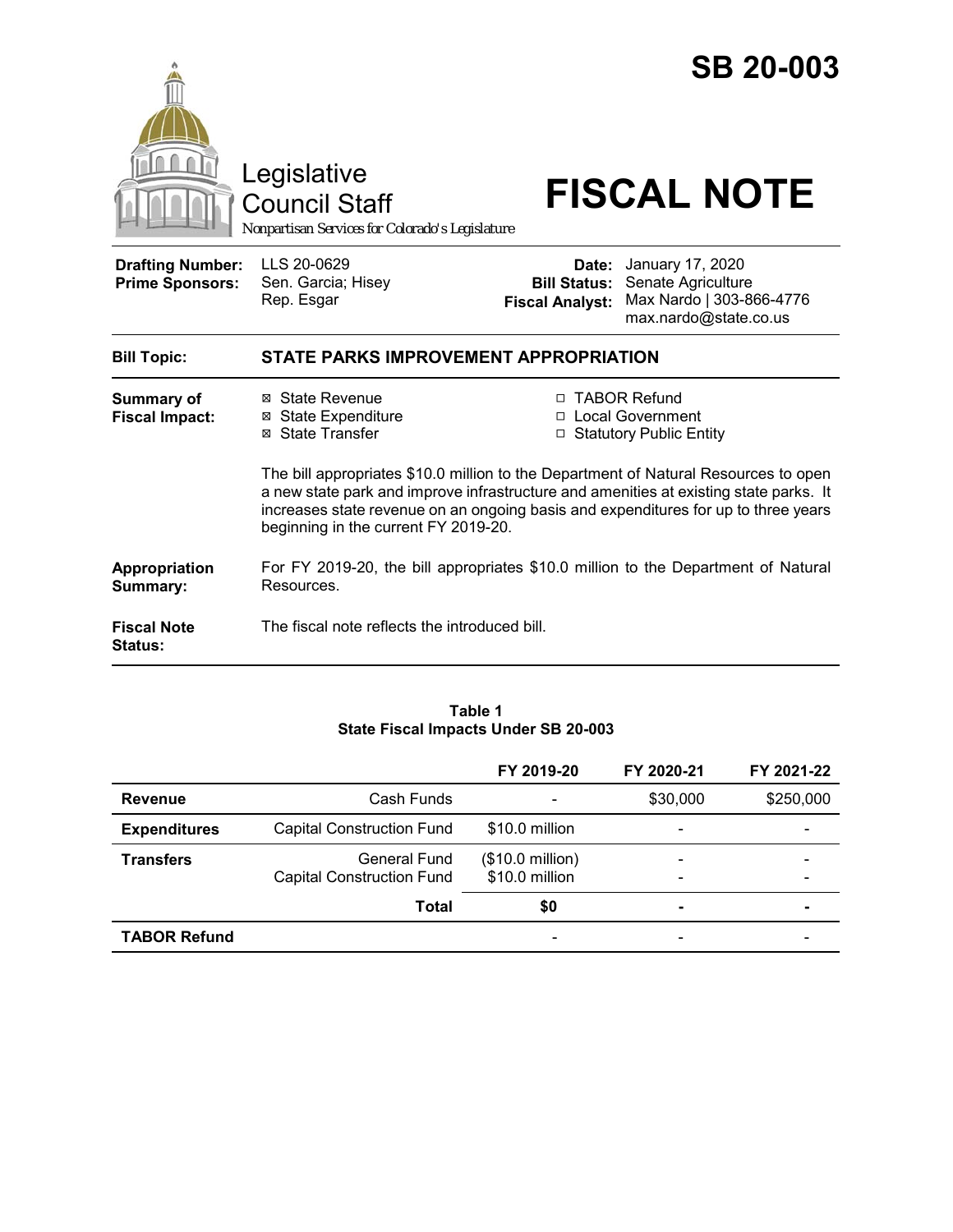

#### **Table 1 State Fiscal Impacts Under SB 20-003**

|                     |                                                         | FY 2019-20                                  | FY 2020-21                                               | FY 2021-22     |
|---------------------|---------------------------------------------------------|---------------------------------------------|----------------------------------------------------------|----------------|
| <b>Revenue</b>      | Cash Funds                                              |                                             | \$30,000                                                 | \$250,000      |
| <b>Expenditures</b> | <b>Capital Construction Fund</b>                        | \$10.0 million                              | $\overline{\phantom{a}}$                                 |                |
| <b>Transfers</b>    | <b>General Fund</b><br><b>Capital Construction Fund</b> | $($10.0 \text{ million})$<br>\$10.0 million | $\qquad \qquad \blacksquare$<br>$\overline{\phantom{a}}$ |                |
|                     | <b>Total</b>                                            | \$0                                         | $\blacksquare$                                           | $\blacksquare$ |
| <b>TABOR Refund</b> |                                                         | $\overline{\phantom{a}}$                    | $\overline{\phantom{0}}$                                 |                |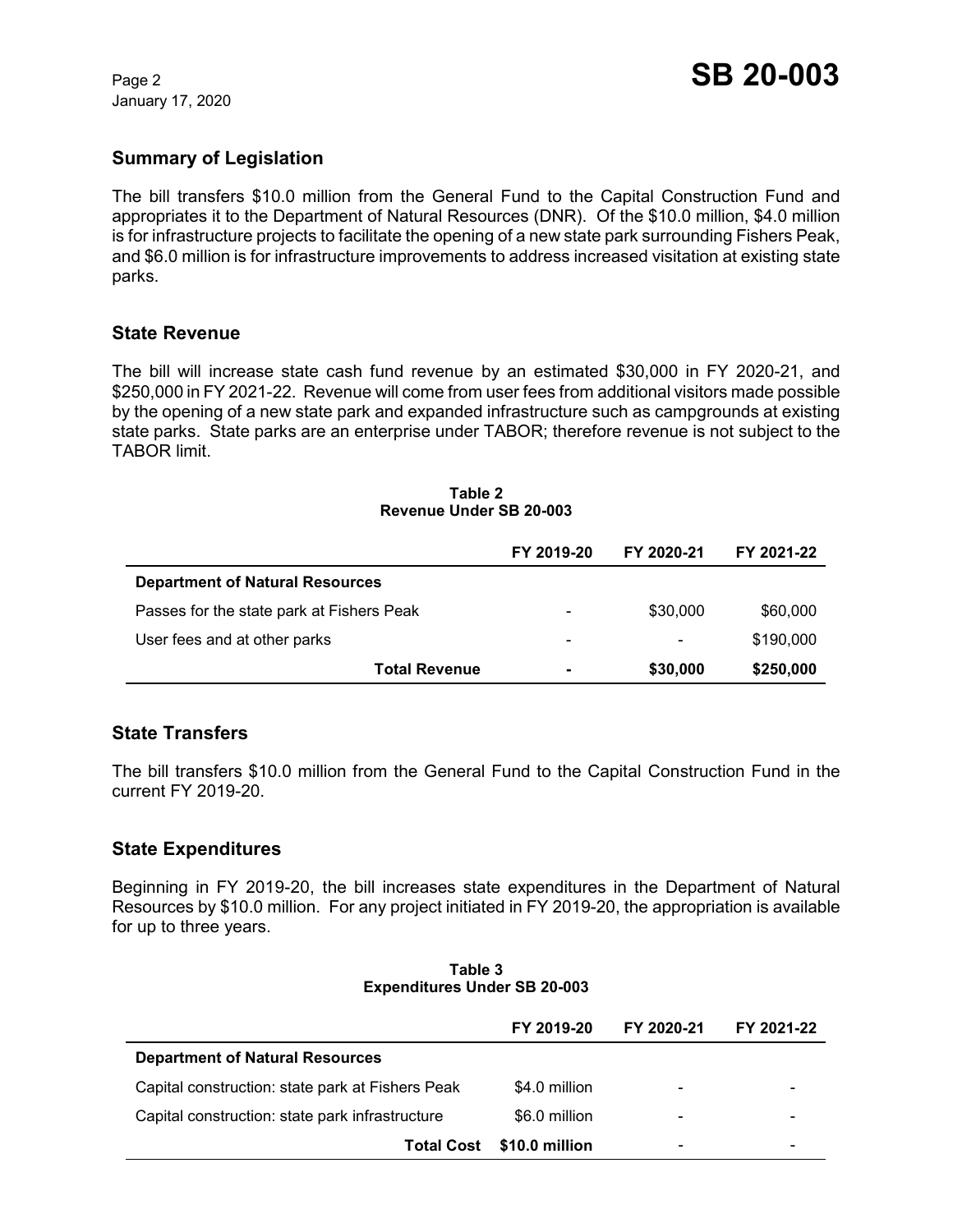January 17, 2020

# **Summary of Legislation**

The bill transfers \$10.0 million from the General Fund to the Capital Construction Fund and appropriates it to the Department of Natural Resources (DNR). Of the \$10.0 million, \$4.0 million is for infrastructure projects to facilitate the opening of a new state park surrounding Fishers Peak, and \$6.0 million is for infrastructure improvements to address increased visitation at existing state parks.

### **State Revenue**

The bill will increase state cash fund revenue by an estimated \$30,000 in FY 2020-21, and \$250,000 in FY 2021-22. Revenue will come from user fees from additional visitors made possible by the opening of a new state park and expanded infrastructure such as campgrounds at existing state parks. State parks are an enterprise under TABOR; therefore revenue is not subject to the TABOR limit.

#### **Table 2 Revenue Under SB 20-003**

|                                           | FY 2019-20               | FY 2020-21               | FY 2021-22 |
|-------------------------------------------|--------------------------|--------------------------|------------|
| <b>Department of Natural Resources</b>    |                          |                          |            |
| Passes for the state park at Fishers Peak | $\overline{\phantom{0}}$ | \$30,000                 | \$60,000   |
| User fees and at other parks              | $\overline{\phantom{0}}$ | $\overline{\phantom{0}}$ | \$190,000  |
| <b>Total Revenue</b>                      | ۰                        | \$30,000                 | \$250,000  |

## **State Transfers**

The bill transfers \$10.0 million from the General Fund to the Capital Construction Fund in the current FY 2019-20.

## **State Expenditures**

Beginning in FY 2019-20, the bill increases state expenditures in the Department of Natural Resources by \$10.0 million. For any project initiated in FY 2019-20, the appropriation is available for up to three years.

| Table 3 |                                     |  |  |  |
|---------|-------------------------------------|--|--|--|
|         | <b>Expenditures Under SB 20-003</b> |  |  |  |

|                                                  | FY 2019-20     | FY 2020-21               | FY 2021-22 |
|--------------------------------------------------|----------------|--------------------------|------------|
| <b>Department of Natural Resources</b>           |                |                          |            |
| Capital construction: state park at Fishers Peak | \$4.0 million  | $\overline{\phantom{0}}$ |            |
| Capital construction: state park infrastructure  | \$6.0 million  | -                        |            |
| Total Cost                                       | \$10.0 million | $\overline{\phantom{0}}$ |            |